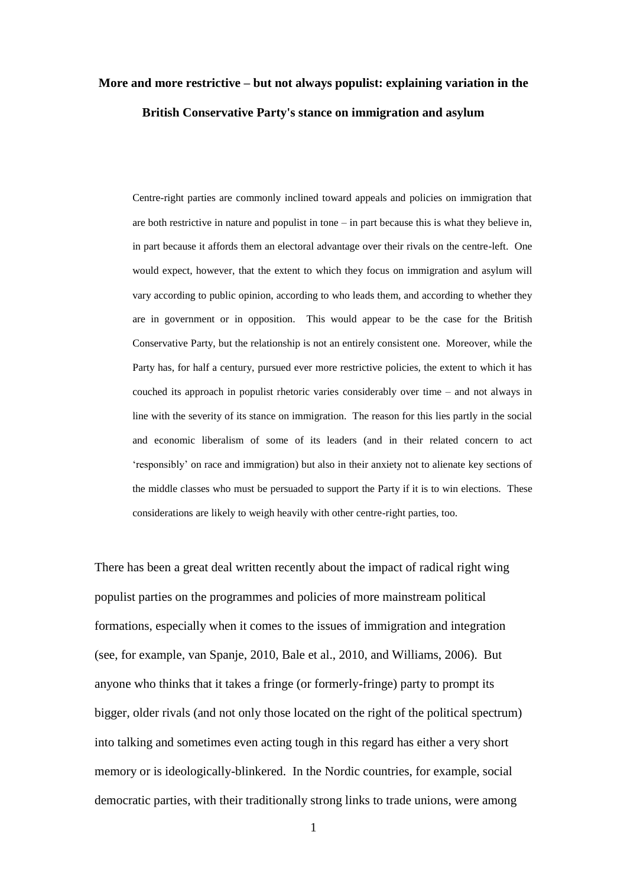# **More and more restrictive – but not always populist: explaining variation in the British Conservative Party's stance on immigration and asylum**

Centre-right parties are commonly inclined toward appeals and policies on immigration that are both restrictive in nature and populist in tone – in part because this is what they believe in, in part because it affords them an electoral advantage over their rivals on the centre-left. One would expect, however, that the extent to which they focus on immigration and asylum will vary according to public opinion, according to who leads them, and according to whether they are in government or in opposition. This would appear to be the case for the British Conservative Party, but the relationship is not an entirely consistent one. Moreover, while the Party has, for half a century, pursued ever more restrictive policies, the extent to which it has couched its approach in populist rhetoric varies considerably over time – and not always in line with the severity of its stance on immigration. The reason for this lies partly in the social and economic liberalism of some of its leaders (and in their related concern to act 'responsibly' on race and immigration) but also in their anxiety not to alienate key sections of the middle classes who must be persuaded to support the Party if it is to win elections. These considerations are likely to weigh heavily with other centre-right parties, too.

There has been a great deal written recently about the impact of radical right wing populist parties on the programmes and policies of more mainstream political formations, especially when it comes to the issues of immigration and integration (see, for example, van Spanje, 2010, Bale et al., 2010, and Williams, 2006). But anyone who thinks that it takes a fringe (or formerly-fringe) party to prompt its bigger, older rivals (and not only those located on the right of the political spectrum) into talking and sometimes even acting tough in this regard has either a very short memory or is ideologically-blinkered. In the Nordic countries, for example, social democratic parties, with their traditionally strong links to trade unions, were among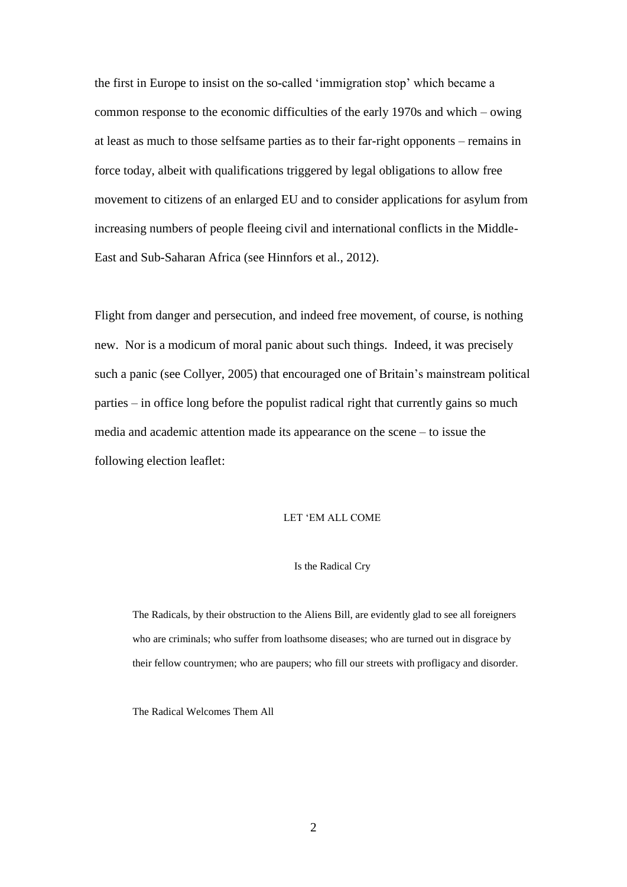the first in Europe to insist on the so-called 'immigration stop' which became a common response to the economic difficulties of the early 1970s and which – owing at least as much to those selfsame parties as to their far-right opponents – remains in force today, albeit with qualifications triggered by legal obligations to allow free movement to citizens of an enlarged EU and to consider applications for asylum from increasing numbers of people fleeing civil and international conflicts in the Middle-East and Sub-Saharan Africa (see Hinnfors et al., 2012).

Flight from danger and persecution, and indeed free movement, of course, is nothing new. Nor is a modicum of moral panic about such things. Indeed, it was precisely such a panic (see Collyer, 2005) that encouraged one of Britain's mainstream political parties – in office long before the populist radical right that currently gains so much media and academic attention made its appearance on the scene – to issue the following election leaflet:

#### LET 'EM ALL COME

#### Is the Radical Cry

The Radicals, by their obstruction to the Aliens Bill, are evidently glad to see all foreigners who are criminals; who suffer from loathsome diseases; who are turned out in disgrace by their fellow countrymen; who are paupers; who fill our streets with profligacy and disorder.

The Radical Welcomes Them All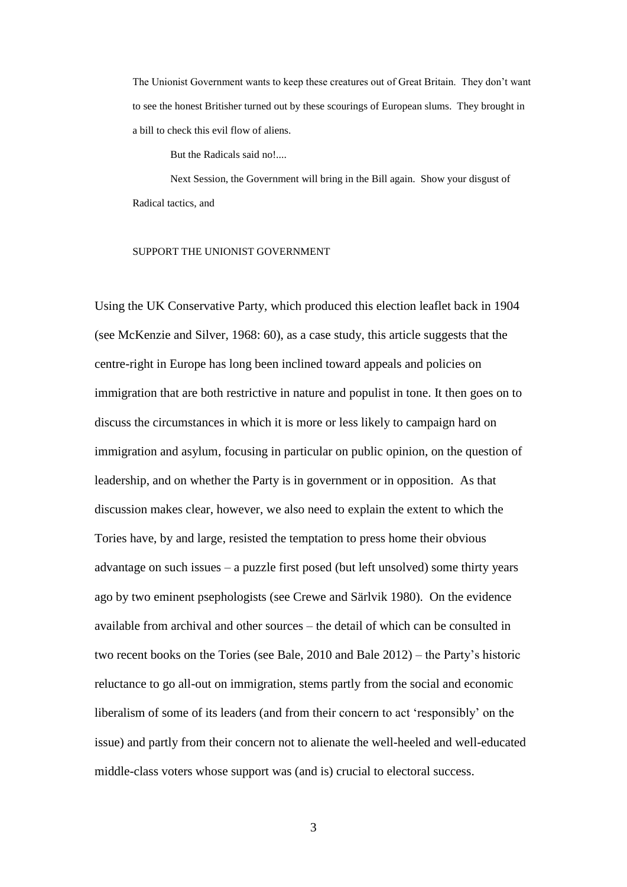The Unionist Government wants to keep these creatures out of Great Britain. They don't want to see the honest Britisher turned out by these scourings of European slums. They brought in a bill to check this evil flow of aliens.

But the Radicals said no!....

Next Session, the Government will bring in the Bill again. Show your disgust of Radical tactics, and

#### SUPPORT THE UNIONIST GOVERNMENT

Using the UK Conservative Party, which produced this election leaflet back in 1904 (see McKenzie and Silver, 1968: 60), as a case study, this article suggests that the centre-right in Europe has long been inclined toward appeals and policies on immigration that are both restrictive in nature and populist in tone. It then goes on to discuss the circumstances in which it is more or less likely to campaign hard on immigration and asylum, focusing in particular on public opinion, on the question of leadership, and on whether the Party is in government or in opposition. As that discussion makes clear, however, we also need to explain the extent to which the Tories have, by and large, resisted the temptation to press home their obvious advantage on such issues – a puzzle first posed (but left unsolved) some thirty years ago by two eminent psephologists (see Crewe and Särlvik 1980). On the evidence available from archival and other sources – the detail of which can be consulted in two recent books on the Tories (see Bale, 2010 and Bale 2012) – the Party's historic reluctance to go all-out on immigration, stems partly from the social and economic liberalism of some of its leaders (and from their concern to act 'responsibly' on the issue) and partly from their concern not to alienate the well-heeled and well-educated middle-class voters whose support was (and is) crucial to electoral success.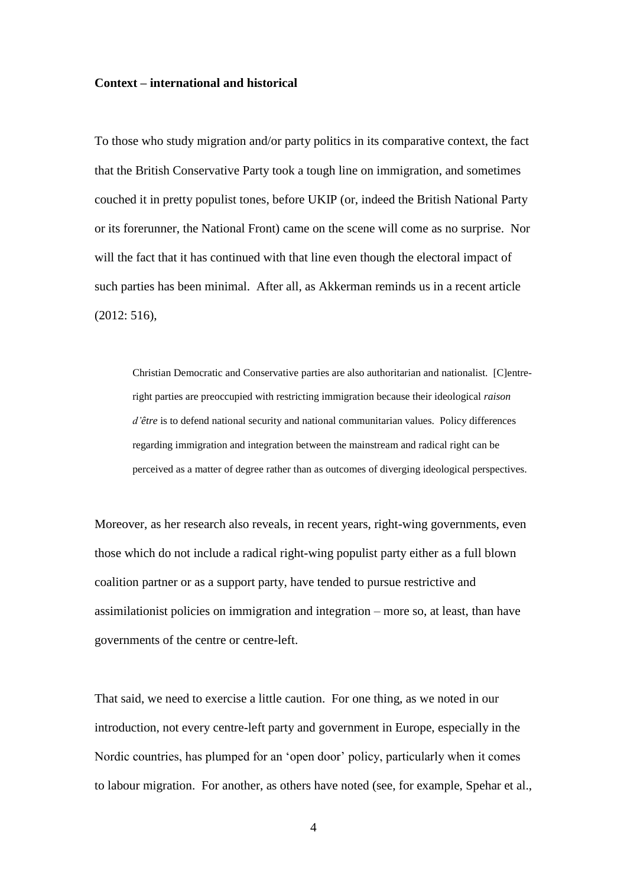#### **Context – international and historical**

To those who study migration and/or party politics in its comparative context, the fact that the British Conservative Party took a tough line on immigration, and sometimes couched it in pretty populist tones, before UKIP (or, indeed the British National Party or its forerunner, the National Front) came on the scene will come as no surprise. Nor will the fact that it has continued with that line even though the electoral impact of such parties has been minimal. After all, as Akkerman reminds us in a recent article (2012: 516),

Christian Democratic and Conservative parties are also authoritarian and nationalist. [C]entreright parties are preoccupied with restricting immigration because their ideological *raison d'être* is to defend national security and national communitarian values. Policy differences regarding immigration and integration between the mainstream and radical right can be perceived as a matter of degree rather than as outcomes of diverging ideological perspectives.

Moreover, as her research also reveals, in recent years, right-wing governments, even those which do not include a radical right-wing populist party either as a full blown coalition partner or as a support party, have tended to pursue restrictive and assimilationist policies on immigration and integration – more so, at least, than have governments of the centre or centre-left.

That said, we need to exercise a little caution. For one thing, as we noted in our introduction, not every centre-left party and government in Europe, especially in the Nordic countries, has plumped for an 'open door' policy, particularly when it comes to labour migration. For another, as others have noted (see, for example, Spehar et al.,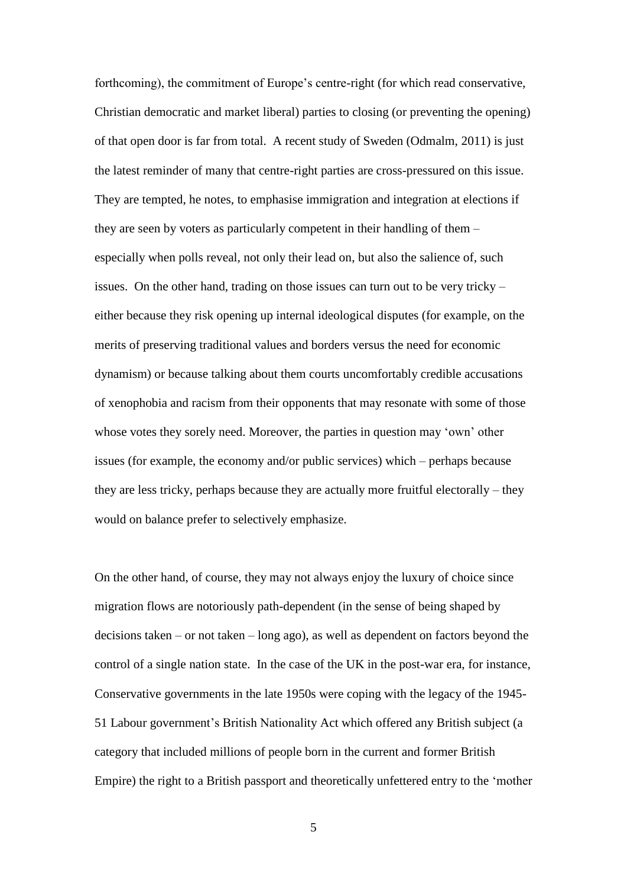forthcoming), the commitment of Europe's centre-right (for which read conservative, Christian democratic and market liberal) parties to closing (or preventing the opening) of that open door is far from total. A recent study of Sweden (Odmalm, 2011) is just the latest reminder of many that centre-right parties are cross-pressured on this issue. They are tempted, he notes, to emphasise immigration and integration at elections if they are seen by voters as particularly competent in their handling of them – especially when polls reveal, not only their lead on, but also the salience of, such issues. On the other hand, trading on those issues can turn out to be very tricky – either because they risk opening up internal ideological disputes (for example, on the merits of preserving traditional values and borders versus the need for economic dynamism) or because talking about them courts uncomfortably credible accusations of xenophobia and racism from their opponents that may resonate with some of those whose votes they sorely need. Moreover, the parties in question may 'own' other issues (for example, the economy and/or public services) which – perhaps because they are less tricky, perhaps because they are actually more fruitful electorally – they would on balance prefer to selectively emphasize.

On the other hand, of course, they may not always enjoy the luxury of choice since migration flows are notoriously path-dependent (in the sense of being shaped by decisions taken – or not taken – long ago), as well as dependent on factors beyond the control of a single nation state. In the case of the UK in the post-war era, for instance, Conservative governments in the late 1950s were coping with the legacy of the 1945- 51 Labour government's British Nationality Act which offered any British subject (a category that included millions of people born in the current and former British Empire) the right to a British passport and theoretically unfettered entry to the 'mother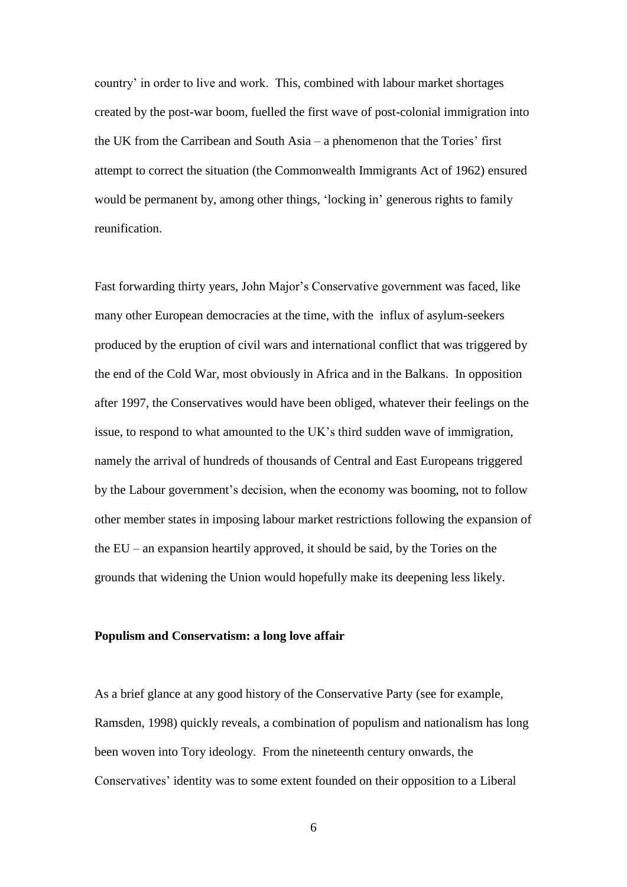country' in order to live and work. This, combined with labour market shortages created by the post-war boom, fuelled the first wave of post-colonial immigration into the UK from the Carribean and South Asia – a phenomenon that the Tories' first attempt to correct the situation (the Commonwealth Immigrants Act of 1962) ensured would be permanent by, among other things, 'locking in' generous rights to family reunification.

Fast forwarding thirty years, John Major's Conservative government was faced, like many other European democracies at the time, with the influx of asylum-seekers produced by the eruption of civil wars and international conflict that was triggered by the end of the Cold War, most obviously in Africa and in the Balkans. In opposition after 1997, the Conservatives would have been obliged, whatever their feelings on the issue, to respond to what amounted to the UK's third sudden wave of immigration, namely the arrival of hundreds of thousands of Central and East Europeans triggered by the Labour government's decision, when the economy was booming, not to follow other member states in imposing labour market restrictions following the expansion of the EU – an expansion heartily approved, it should be said, by the Tories on the grounds that widening the Union would hopefully make its deepening less likely.

## **Populism and Conservatism: a long love affair**

As a brief glance at any good history of the Conservative Party (see for example, Ramsden, 1998) quickly reveals, a combination of populism and nationalism has long been woven into Tory ideology. From the nineteenth century onwards, the Conservatives' identity was to some extent founded on their opposition to a Liberal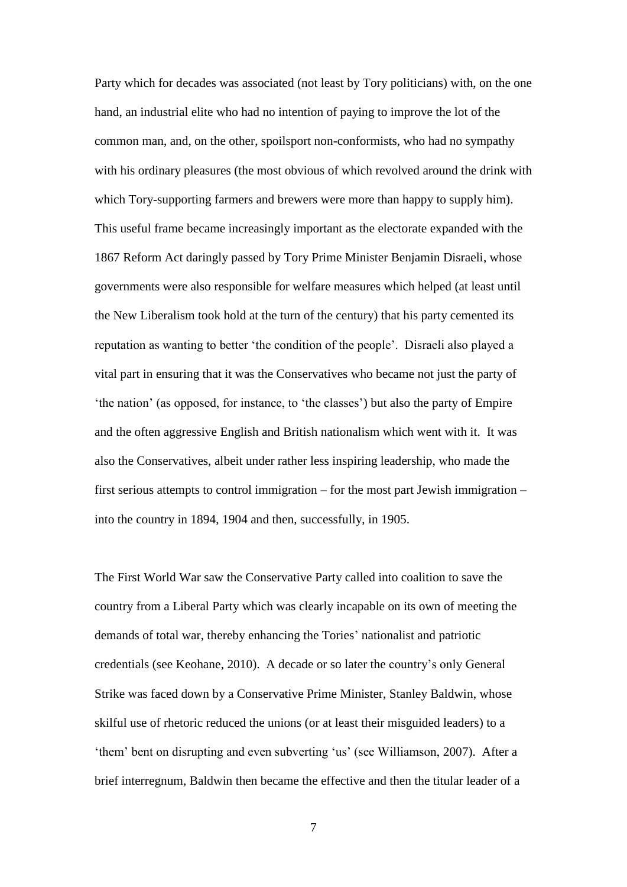Party which for decades was associated (not least by Tory politicians) with, on the one hand, an industrial elite who had no intention of paying to improve the lot of the common man, and, on the other, spoilsport non-conformists, who had no sympathy with his ordinary pleasures (the most obvious of which revolved around the drink with which Tory-supporting farmers and brewers were more than happy to supply him). This useful frame became increasingly important as the electorate expanded with the 1867 Reform Act daringly passed by Tory Prime Minister Benjamin Disraeli, whose governments were also responsible for welfare measures which helped (at least until the New Liberalism took hold at the turn of the century) that his party cemented its reputation as wanting to better 'the condition of the people'. Disraeli also played a vital part in ensuring that it was the Conservatives who became not just the party of 'the nation' (as opposed, for instance, to 'the classes') but also the party of Empire and the often aggressive English and British nationalism which went with it. It was also the Conservatives, albeit under rather less inspiring leadership, who made the first serious attempts to control immigration – for the most part Jewish immigration – into the country in 1894, 1904 and then, successfully, in 1905.

The First World War saw the Conservative Party called into coalition to save the country from a Liberal Party which was clearly incapable on its own of meeting the demands of total war, thereby enhancing the Tories' nationalist and patriotic credentials (see Keohane, 2010). A decade or so later the country's only General Strike was faced down by a Conservative Prime Minister, Stanley Baldwin, whose skilful use of rhetoric reduced the unions (or at least their misguided leaders) to a 'them' bent on disrupting and even subverting 'us' (see Williamson, 2007). After a brief interregnum, Baldwin then became the effective and then the titular leader of a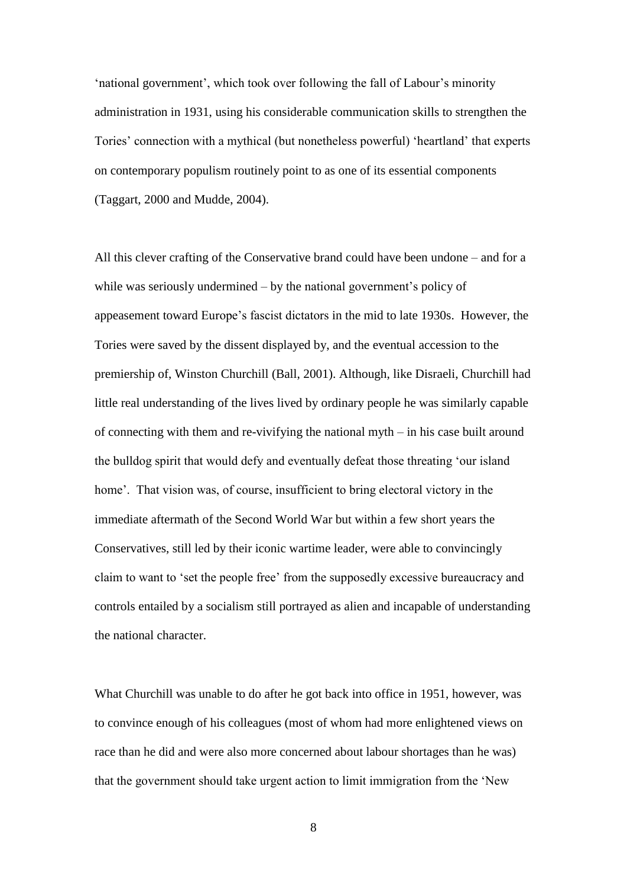'national government', which took over following the fall of Labour's minority administration in 1931, using his considerable communication skills to strengthen the Tories' connection with a mythical (but nonetheless powerful) 'heartland' that experts on contemporary populism routinely point to as one of its essential components (Taggart, 2000 and Mudde, 2004).

All this clever crafting of the Conservative brand could have been undone – and for a while was seriously undermined – by the national government's policy of appeasement toward Europe's fascist dictators in the mid to late 1930s. However, the Tories were saved by the dissent displayed by, and the eventual accession to the premiership of, Winston Churchill (Ball, 2001). Although, like Disraeli, Churchill had little real understanding of the lives lived by ordinary people he was similarly capable of connecting with them and re-vivifying the national myth – in his case built around the bulldog spirit that would defy and eventually defeat those threating 'our island home'. That vision was, of course, insufficient to bring electoral victory in the immediate aftermath of the Second World War but within a few short years the Conservatives, still led by their iconic wartime leader, were able to convincingly claim to want to 'set the people free' from the supposedly excessive bureaucracy and controls entailed by a socialism still portrayed as alien and incapable of understanding the national character.

What Churchill was unable to do after he got back into office in 1951, however, was to convince enough of his colleagues (most of whom had more enlightened views on race than he did and were also more concerned about labour shortages than he was) that the government should take urgent action to limit immigration from the 'New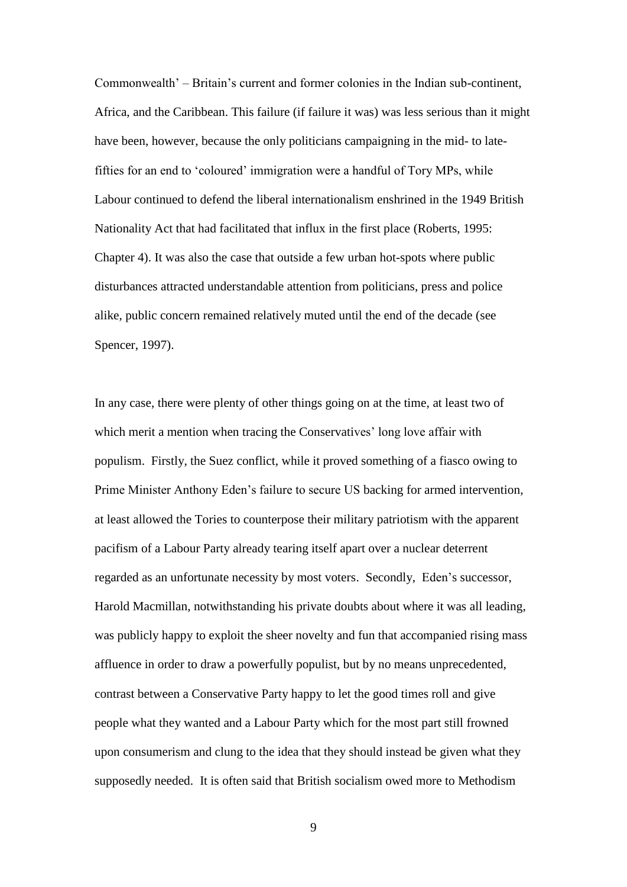Commonwealth' – Britain's current and former colonies in the Indian sub-continent, Africa, and the Caribbean. This failure (if failure it was) was less serious than it might have been, however, because the only politicians campaigning in the mid- to latefifties for an end to 'coloured' immigration were a handful of Tory MPs, while Labour continued to defend the liberal internationalism enshrined in the 1949 British Nationality Act that had facilitated that influx in the first place (Roberts, 1995: Chapter 4). It was also the case that outside a few urban hot-spots where public disturbances attracted understandable attention from politicians, press and police alike, public concern remained relatively muted until the end of the decade (see Spencer, 1997).

In any case, there were plenty of other things going on at the time, at least two of which merit a mention when tracing the Conservatives' long love affair with populism. Firstly, the Suez conflict, while it proved something of a fiasco owing to Prime Minister Anthony Eden's failure to secure US backing for armed intervention, at least allowed the Tories to counterpose their military patriotism with the apparent pacifism of a Labour Party already tearing itself apart over a nuclear deterrent regarded as an unfortunate necessity by most voters. Secondly, Eden's successor, Harold Macmillan, notwithstanding his private doubts about where it was all leading, was publicly happy to exploit the sheer novelty and fun that accompanied rising mass affluence in order to draw a powerfully populist, but by no means unprecedented, contrast between a Conservative Party happy to let the good times roll and give people what they wanted and a Labour Party which for the most part still frowned upon consumerism and clung to the idea that they should instead be given what they supposedly needed. It is often said that British socialism owed more to Methodism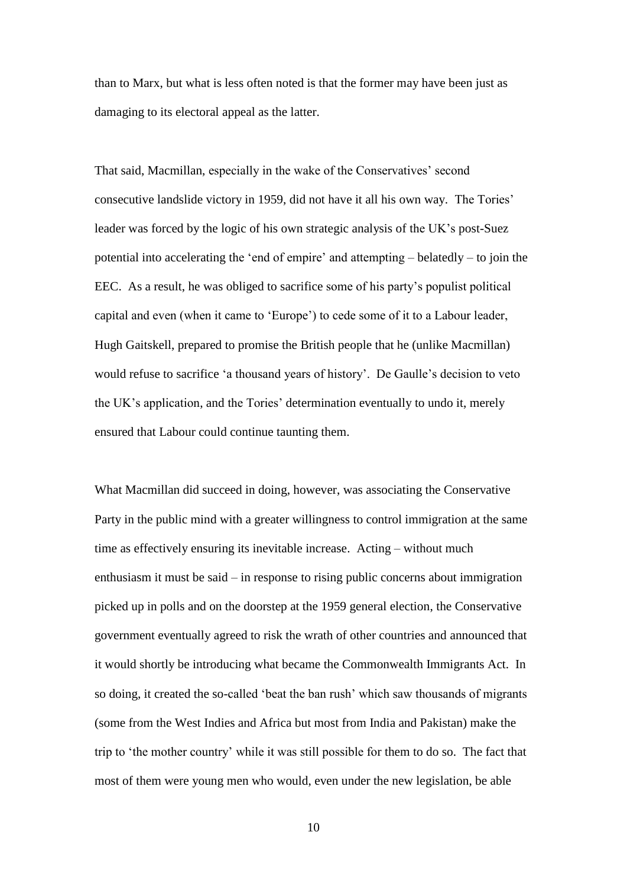than to Marx, but what is less often noted is that the former may have been just as damaging to its electoral appeal as the latter.

That said, Macmillan, especially in the wake of the Conservatives' second consecutive landslide victory in 1959, did not have it all his own way. The Tories' leader was forced by the logic of his own strategic analysis of the UK's post-Suez potential into accelerating the 'end of empire' and attempting – belatedly – to join the EEC. As a result, he was obliged to sacrifice some of his party's populist political capital and even (when it came to 'Europe') to cede some of it to a Labour leader, Hugh Gaitskell, prepared to promise the British people that he (unlike Macmillan) would refuse to sacrifice 'a thousand years of history'. De Gaulle's decision to veto the UK's application, and the Tories' determination eventually to undo it, merely ensured that Labour could continue taunting them.

What Macmillan did succeed in doing, however, was associating the Conservative Party in the public mind with a greater willingness to control immigration at the same time as effectively ensuring its inevitable increase. Acting – without much enthusiasm it must be said – in response to rising public concerns about immigration picked up in polls and on the doorstep at the 1959 general election, the Conservative government eventually agreed to risk the wrath of other countries and announced that it would shortly be introducing what became the Commonwealth Immigrants Act. In so doing, it created the so-called 'beat the ban rush' which saw thousands of migrants (some from the West Indies and Africa but most from India and Pakistan) make the trip to 'the mother country' while it was still possible for them to do so. The fact that most of them were young men who would, even under the new legislation, be able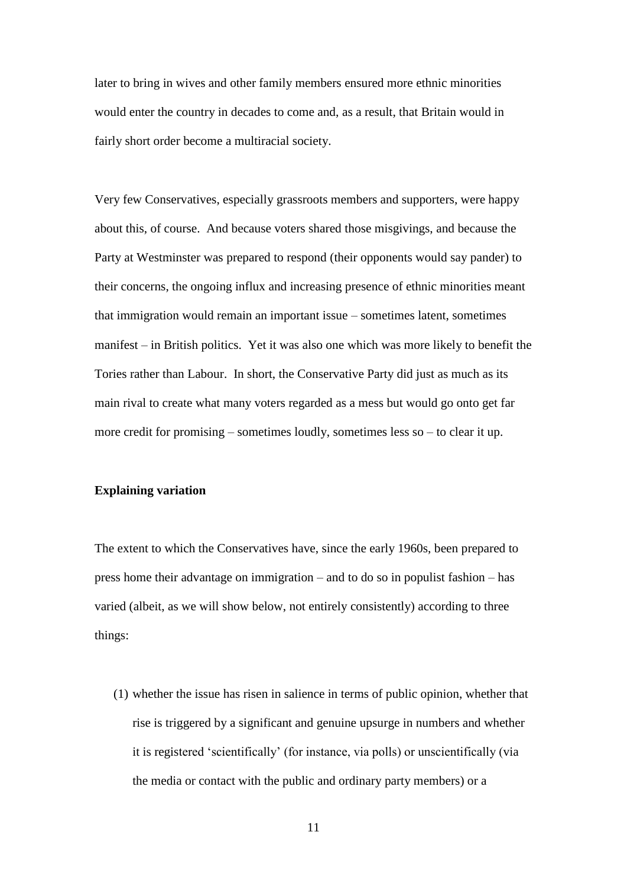later to bring in wives and other family members ensured more ethnic minorities would enter the country in decades to come and, as a result, that Britain would in fairly short order become a multiracial society.

Very few Conservatives, especially grassroots members and supporters, were happy about this, of course. And because voters shared those misgivings, and because the Party at Westminster was prepared to respond (their opponents would say pander) to their concerns, the ongoing influx and increasing presence of ethnic minorities meant that immigration would remain an important issue – sometimes latent, sometimes manifest – in British politics. Yet it was also one which was more likely to benefit the Tories rather than Labour. In short, the Conservative Party did just as much as its main rival to create what many voters regarded as a mess but would go onto get far more credit for promising – sometimes loudly, sometimes less so – to clear it up.

## **Explaining variation**

The extent to which the Conservatives have, since the early 1960s, been prepared to press home their advantage on immigration – and to do so in populist fashion – has varied (albeit, as we will show below, not entirely consistently) according to three things:

(1) whether the issue has risen in salience in terms of public opinion, whether that rise is triggered by a significant and genuine upsurge in numbers and whether it is registered 'scientifically' (for instance, via polls) or unscientifically (via the media or contact with the public and ordinary party members) or a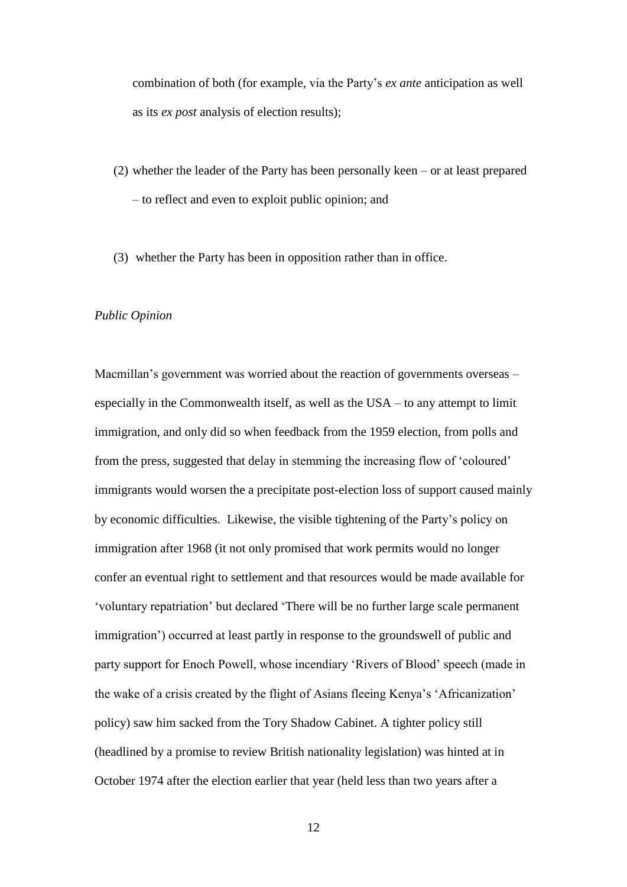combination of both (for example, via the Party's *ex ante* anticipation as well as its *ex post* analysis of election results);

- (2) whether the leader of the Party has been personally keen or at least prepared – to reflect and even to exploit public opinion; and
- (3) whether the Party has been in opposition rather than in office.

### *Public Opinion*

Macmillan's government was worried about the reaction of governments overseas – especially in the Commonwealth itself, as well as the USA – to any attempt to limit immigration, and only did so when feedback from the 1959 election, from polls and from the press, suggested that delay in stemming the increasing flow of 'coloured' immigrants would worsen the a precipitate post-election loss of support caused mainly by economic difficulties. Likewise, the visible tightening of the Party's policy on immigration after 1968 (it not only promised that work permits would no longer confer an eventual right to settlement and that resources would be made available for 'voluntary repatriation' but declared 'There will be no further large scale permanent immigration') occurred at least partly in response to the groundswell of public and party support for Enoch Powell, whose incendiary 'Rivers of Blood' speech (made in the wake of a crisis created by the flight of Asians fleeing Kenya's 'Africanization' policy) saw him sacked from the Tory Shadow Cabinet. A tighter policy still (headlined by a promise to review British nationality legislation) was hinted at in October 1974 after the election earlier that year (held less than two years after a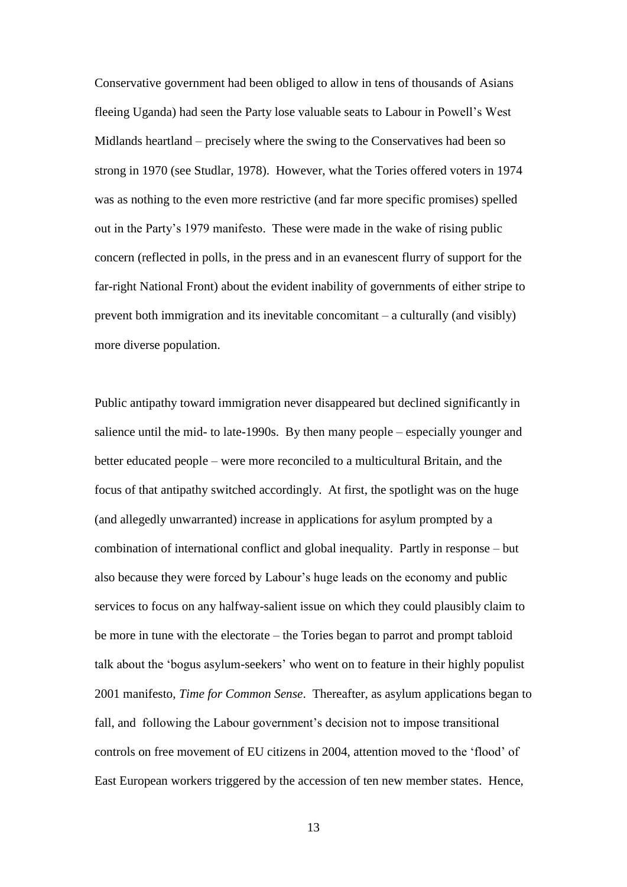Conservative government had been obliged to allow in tens of thousands of Asians fleeing Uganda) had seen the Party lose valuable seats to Labour in Powell's West Midlands heartland – precisely where the swing to the Conservatives had been so strong in 1970 (see Studlar, 1978). However, what the Tories offered voters in 1974 was as nothing to the even more restrictive (and far more specific promises) spelled out in the Party's 1979 manifesto. These were made in the wake of rising public concern (reflected in polls, in the press and in an evanescent flurry of support for the far-right National Front) about the evident inability of governments of either stripe to prevent both immigration and its inevitable concomitant – a culturally (and visibly) more diverse population.

Public antipathy toward immigration never disappeared but declined significantly in salience until the mid- to late-1990s. By then many people – especially younger and better educated people – were more reconciled to a multicultural Britain, and the focus of that antipathy switched accordingly. At first, the spotlight was on the huge (and allegedly unwarranted) increase in applications for asylum prompted by a combination of international conflict and global inequality. Partly in response – but also because they were forced by Labour's huge leads on the economy and public services to focus on any halfway-salient issue on which they could plausibly claim to be more in tune with the electorate – the Tories began to parrot and prompt tabloid talk about the 'bogus asylum-seekers' who went on to feature in their highly populist 2001 manifesto, *Time for Common Sense*. Thereafter, as asylum applications began to fall, and following the Labour government's decision not to impose transitional controls on free movement of EU citizens in 2004, attention moved to the 'flood' of East European workers triggered by the accession of ten new member states. Hence,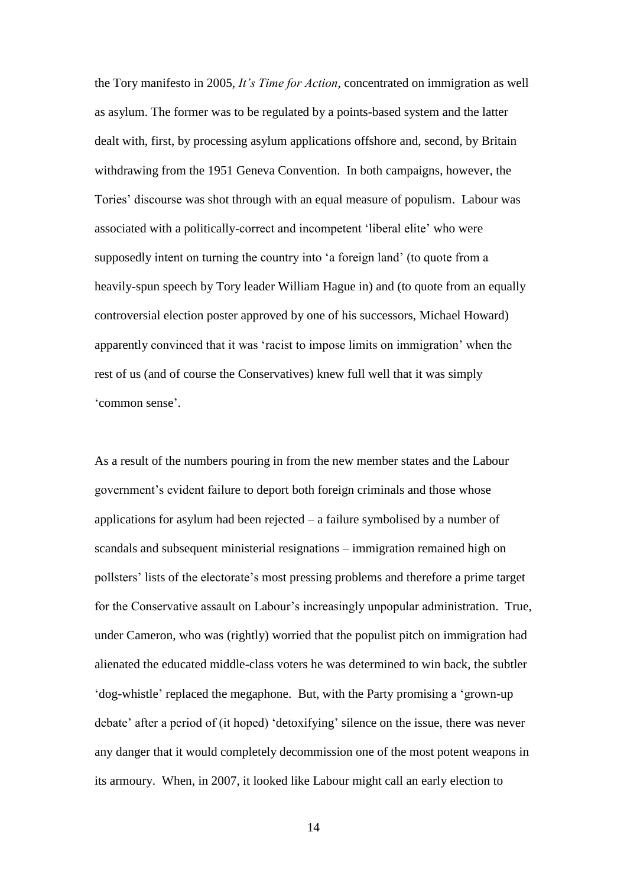the Tory manifesto in 2005, *It's Time for Action*, concentrated on immigration as well as asylum. The former was to be regulated by a points-based system and the latter dealt with, first, by processing asylum applications offshore and, second, by Britain withdrawing from the 1951 Geneva Convention. In both campaigns, however, the Tories' discourse was shot through with an equal measure of populism. Labour was associated with a politically-correct and incompetent 'liberal elite' who were supposedly intent on turning the country into 'a foreign land' (to quote from a heavily-spun speech by Tory leader William Hague in) and (to quote from an equally controversial election poster approved by one of his successors, Michael Howard) apparently convinced that it was 'racist to impose limits on immigration' when the rest of us (and of course the Conservatives) knew full well that it was simply 'common sense'.

As a result of the numbers pouring in from the new member states and the Labour government's evident failure to deport both foreign criminals and those whose applications for asylum had been rejected – a failure symbolised by a number of scandals and subsequent ministerial resignations – immigration remained high on pollsters' lists of the electorate's most pressing problems and therefore a prime target for the Conservative assault on Labour's increasingly unpopular administration. True, under Cameron, who was (rightly) worried that the populist pitch on immigration had alienated the educated middle-class voters he was determined to win back, the subtler 'dog-whistle' replaced the megaphone. But, with the Party promising a 'grown-up debate' after a period of (it hoped) 'detoxifying' silence on the issue, there was never any danger that it would completely decommission one of the most potent weapons in its armoury. When, in 2007, it looked like Labour might call an early election to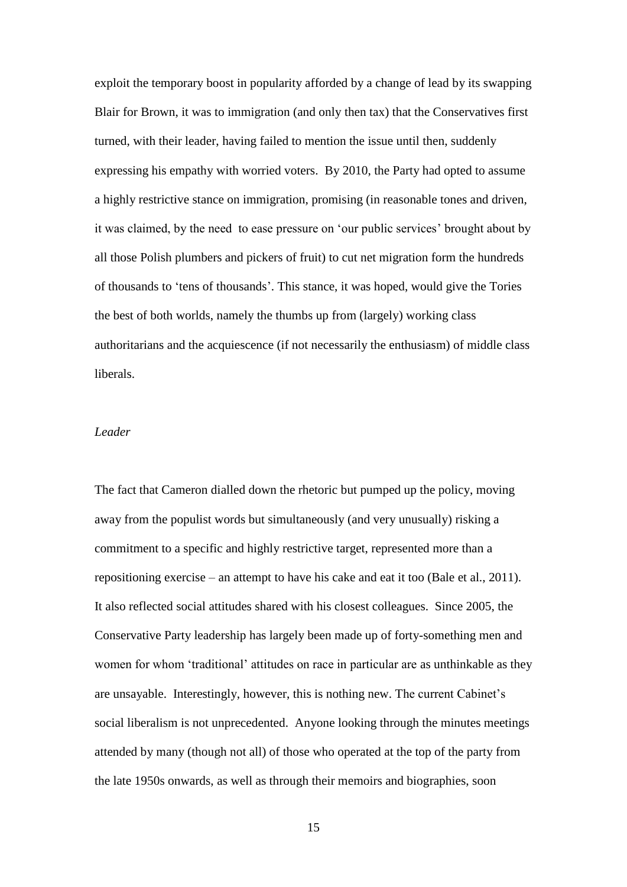exploit the temporary boost in popularity afforded by a change of lead by its swapping Blair for Brown, it was to immigration (and only then tax) that the Conservatives first turned, with their leader, having failed to mention the issue until then, suddenly expressing his empathy with worried voters. By 2010, the Party had opted to assume a highly restrictive stance on immigration, promising (in reasonable tones and driven, it was claimed, by the need to ease pressure on 'our public services' brought about by all those Polish plumbers and pickers of fruit) to cut net migration form the hundreds of thousands to 'tens of thousands'. This stance, it was hoped, would give the Tories the best of both worlds, namely the thumbs up from (largely) working class authoritarians and the acquiescence (if not necessarily the enthusiasm) of middle class liberals.

## *Leader*

The fact that Cameron dialled down the rhetoric but pumped up the policy, moving away from the populist words but simultaneously (and very unusually) risking a commitment to a specific and highly restrictive target, represented more than a repositioning exercise – an attempt to have his cake and eat it too (Bale et al., 2011). It also reflected social attitudes shared with his closest colleagues. Since 2005, the Conservative Party leadership has largely been made up of forty-something men and women for whom 'traditional' attitudes on race in particular are as unthinkable as they are unsayable. Interestingly, however, this is nothing new. The current Cabinet's social liberalism is not unprecedented. Anyone looking through the minutes meetings attended by many (though not all) of those who operated at the top of the party from the late 1950s onwards, as well as through their memoirs and biographies, soon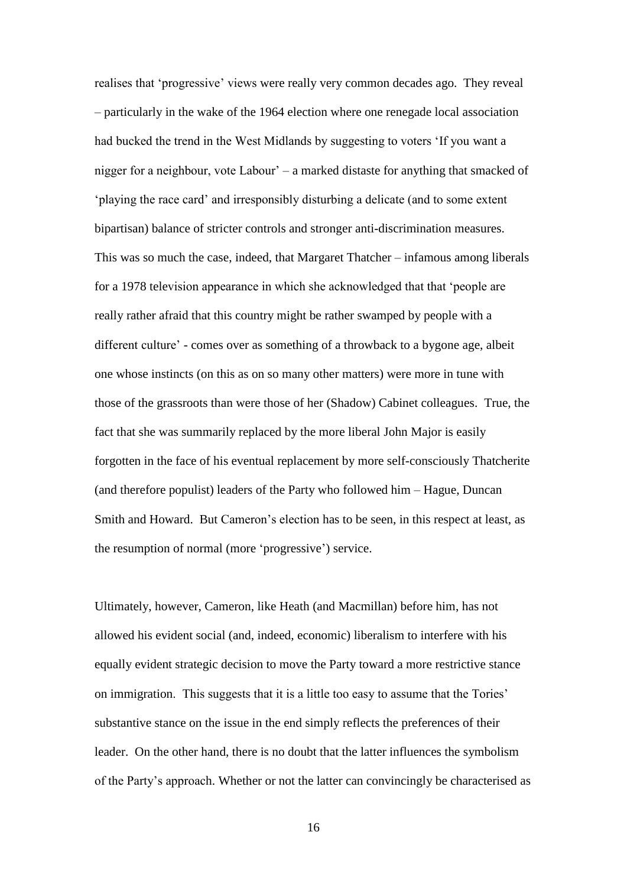realises that 'progressive' views were really very common decades ago. They reveal – particularly in the wake of the 1964 election where one renegade local association had bucked the trend in the West Midlands by suggesting to voters 'If you want a nigger for a neighbour, vote Labour' – a marked distaste for anything that smacked of 'playing the race card' and irresponsibly disturbing a delicate (and to some extent bipartisan) balance of stricter controls and stronger anti-discrimination measures. This was so much the case, indeed, that Margaret Thatcher – infamous among liberals for a 1978 television appearance in which she acknowledged that that 'people are really rather afraid that this country might be rather swamped by people with a different culture' - comes over as something of a throwback to a bygone age, albeit one whose instincts (on this as on so many other matters) were more in tune with those of the grassroots than were those of her (Shadow) Cabinet colleagues. True, the fact that she was summarily replaced by the more liberal John Major is easily forgotten in the face of his eventual replacement by more self-consciously Thatcherite (and therefore populist) leaders of the Party who followed him – Hague, Duncan Smith and Howard. But Cameron's election has to be seen, in this respect at least, as the resumption of normal (more 'progressive') service.

Ultimately, however, Cameron, like Heath (and Macmillan) before him, has not allowed his evident social (and, indeed, economic) liberalism to interfere with his equally evident strategic decision to move the Party toward a more restrictive stance on immigration. This suggests that it is a little too easy to assume that the Tories' substantive stance on the issue in the end simply reflects the preferences of their leader. On the other hand, there is no doubt that the latter influences the symbolism of the Party's approach. Whether or not the latter can convincingly be characterised as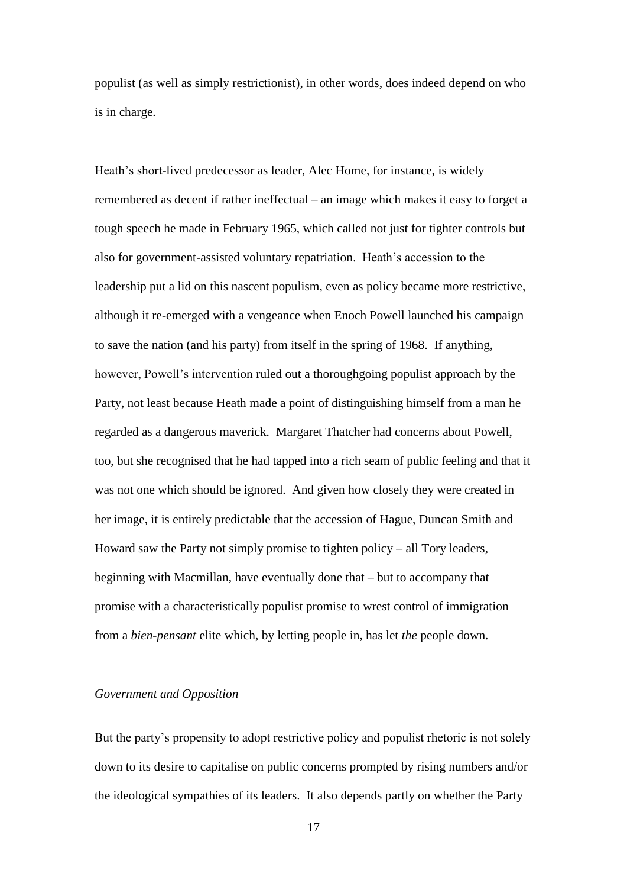populist (as well as simply restrictionist), in other words, does indeed depend on who is in charge.

Heath's short-lived predecessor as leader, Alec Home, for instance, is widely remembered as decent if rather ineffectual – an image which makes it easy to forget a tough speech he made in February 1965, which called not just for tighter controls but also for government-assisted voluntary repatriation. Heath's accession to the leadership put a lid on this nascent populism, even as policy became more restrictive, although it re-emerged with a vengeance when Enoch Powell launched his campaign to save the nation (and his party) from itself in the spring of 1968. If anything, however, Powell's intervention ruled out a thoroughgoing populist approach by the Party, not least because Heath made a point of distinguishing himself from a man he regarded as a dangerous maverick. Margaret Thatcher had concerns about Powell, too, but she recognised that he had tapped into a rich seam of public feeling and that it was not one which should be ignored. And given how closely they were created in her image, it is entirely predictable that the accession of Hague, Duncan Smith and Howard saw the Party not simply promise to tighten policy – all Tory leaders, beginning with Macmillan, have eventually done that – but to accompany that promise with a characteristically populist promise to wrest control of immigration from a *bien-pensant* elite which, by letting people in, has let *the* people down.

## *Government and Opposition*

But the party's propensity to adopt restrictive policy and populist rhetoric is not solely down to its desire to capitalise on public concerns prompted by rising numbers and/or the ideological sympathies of its leaders. It also depends partly on whether the Party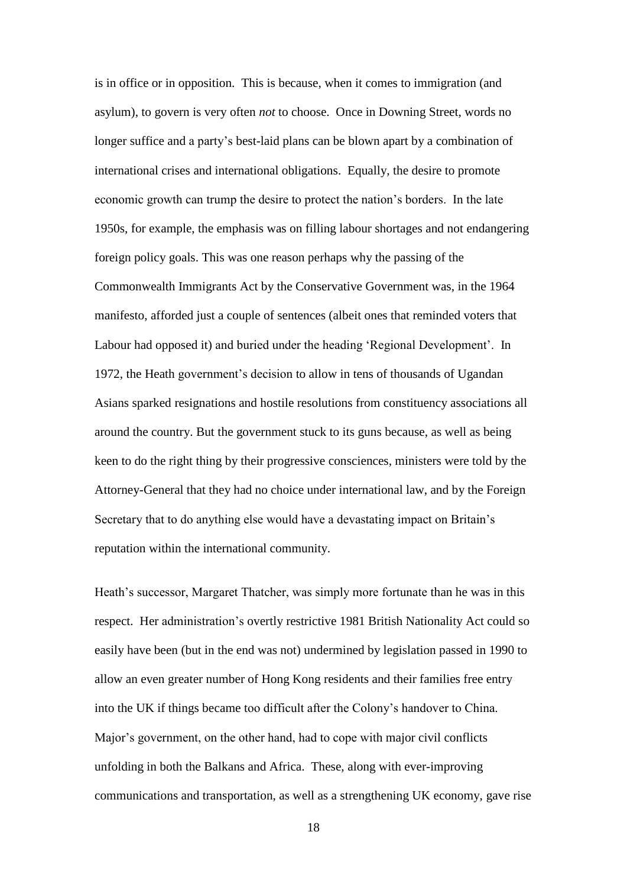is in office or in opposition. This is because, when it comes to immigration (and asylum), to govern is very often *not* to choose. Once in Downing Street, words no longer suffice and a party's best-laid plans can be blown apart by a combination of international crises and international obligations. Equally, the desire to promote economic growth can trump the desire to protect the nation's borders. In the late 1950s, for example, the emphasis was on filling labour shortages and not endangering foreign policy goals. This was one reason perhaps why the passing of the Commonwealth Immigrants Act by the Conservative Government was, in the 1964 manifesto, afforded just a couple of sentences (albeit ones that reminded voters that Labour had opposed it) and buried under the heading 'Regional Development'. In 1972, the Heath government's decision to allow in tens of thousands of Ugandan Asians sparked resignations and hostile resolutions from constituency associations all around the country. But the government stuck to its guns because, as well as being keen to do the right thing by their progressive consciences, ministers were told by the Attorney-General that they had no choice under international law, and by the Foreign Secretary that to do anything else would have a devastating impact on Britain's reputation within the international community.

Heath's successor, Margaret Thatcher, was simply more fortunate than he was in this respect. Her administration's overtly restrictive 1981 British Nationality Act could so easily have been (but in the end was not) undermined by legislation passed in 1990 to allow an even greater number of Hong Kong residents and their families free entry into the UK if things became too difficult after the Colony's handover to China. Major's government, on the other hand, had to cope with major civil conflicts unfolding in both the Balkans and Africa. These, along with ever-improving communications and transportation, as well as a strengthening UK economy, gave rise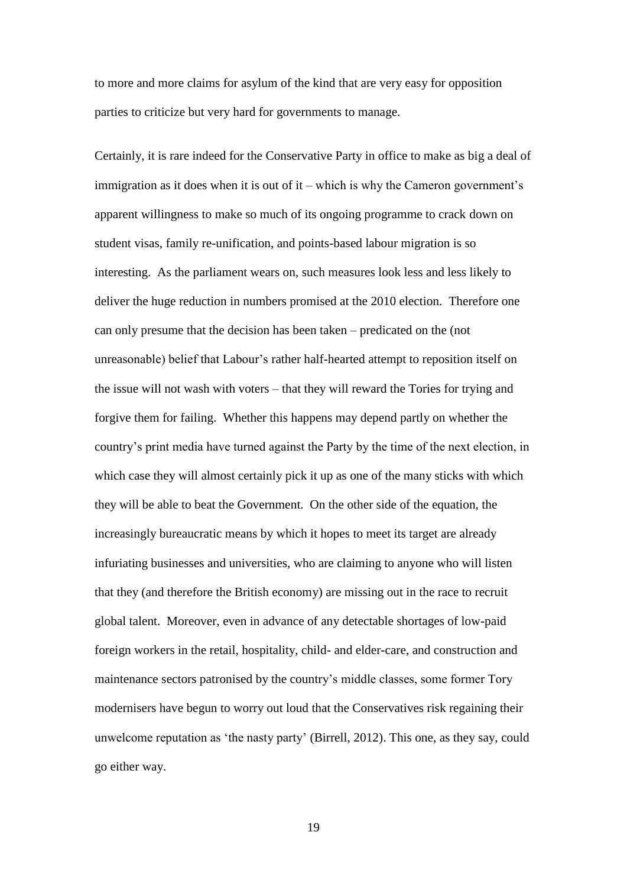to more and more claims for asylum of the kind that are very easy for opposition parties to criticize but very hard for governments to manage.

Certainly, it is rare indeed for the Conservative Party in office to make as big a deal of immigration as it does when it is out of it – which is why the Cameron government's apparent willingness to make so much of its ongoing programme to crack down on student visas, family re-unification, and points-based labour migration is so interesting. As the parliament wears on, such measures look less and less likely to deliver the huge reduction in numbers promised at the 2010 election. Therefore one can only presume that the decision has been taken – predicated on the (not unreasonable) belief that Labour's rather half-hearted attempt to reposition itself on the issue will not wash with voters – that they will reward the Tories for trying and forgive them for failing. Whether this happens may depend partly on whether the country's print media have turned against the Party by the time of the next election, in which case they will almost certainly pick it up as one of the many sticks with which they will be able to beat the Government. On the other side of the equation, the increasingly bureaucratic means by which it hopes to meet its target are already infuriating businesses and universities, who are claiming to anyone who will listen that they (and therefore the British economy) are missing out in the race to recruit global talent. Moreover, even in advance of any detectable shortages of low-paid foreign workers in the retail, hospitality, child- and elder-care, and construction and maintenance sectors patronised by the country's middle classes, some former Tory modernisers have begun to worry out loud that the Conservatives risk regaining their unwelcome reputation as 'the nasty party' (Birrell, 2012). This one, as they say, could go either way.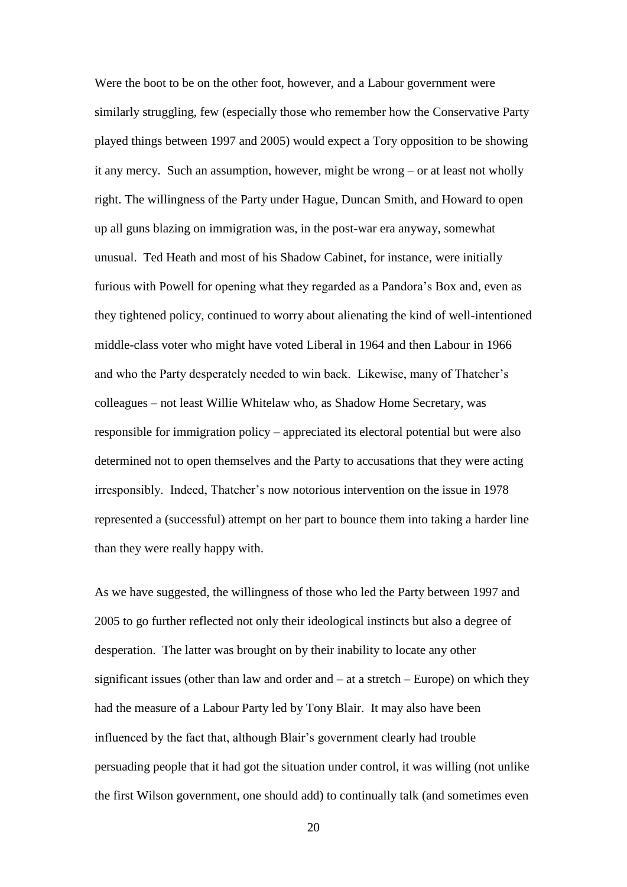Were the boot to be on the other foot, however, and a Labour government were similarly struggling, few (especially those who remember how the Conservative Party played things between 1997 and 2005) would expect a Tory opposition to be showing it any mercy. Such an assumption, however, might be wrong – or at least not wholly right. The willingness of the Party under Hague, Duncan Smith, and Howard to open up all guns blazing on immigration was, in the post-war era anyway, somewhat unusual. Ted Heath and most of his Shadow Cabinet, for instance, were initially furious with Powell for opening what they regarded as a Pandora's Box and, even as they tightened policy, continued to worry about alienating the kind of well-intentioned middle-class voter who might have voted Liberal in 1964 and then Labour in 1966 and who the Party desperately needed to win back. Likewise, many of Thatcher's colleagues – not least Willie Whitelaw who, as Shadow Home Secretary, was responsible for immigration policy – appreciated its electoral potential but were also determined not to open themselves and the Party to accusations that they were acting irresponsibly. Indeed, Thatcher's now notorious intervention on the issue in 1978 represented a (successful) attempt on her part to bounce them into taking a harder line than they were really happy with.

As we have suggested, the willingness of those who led the Party between 1997 and 2005 to go further reflected not only their ideological instincts but also a degree of desperation. The latter was brought on by their inability to locate any other significant issues (other than law and order and – at a stretch – Europe) on which they had the measure of a Labour Party led by Tony Blair. It may also have been influenced by the fact that, although Blair's government clearly had trouble persuading people that it had got the situation under control, it was willing (not unlike the first Wilson government, one should add) to continually talk (and sometimes even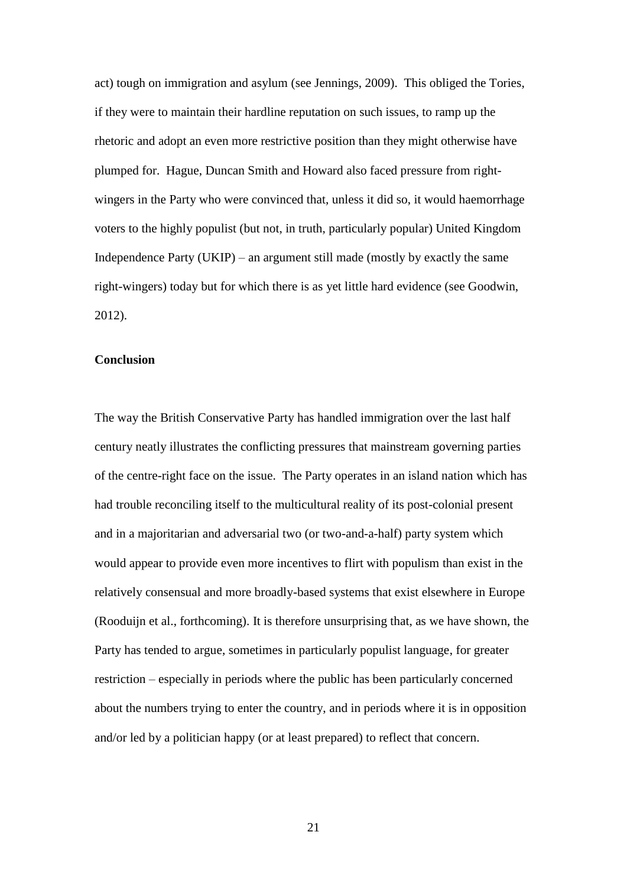act) tough on immigration and asylum (see Jennings, 2009). This obliged the Tories, if they were to maintain their hardline reputation on such issues, to ramp up the rhetoric and adopt an even more restrictive position than they might otherwise have plumped for. Hague, Duncan Smith and Howard also faced pressure from rightwingers in the Party who were convinced that, unless it did so, it would haemorrhage voters to the highly populist (but not, in truth, particularly popular) United Kingdom Independence Party  $(UKIP)$  – an argument still made (mostly by exactly the same right-wingers) today but for which there is as yet little hard evidence (see Goodwin, 2012).

## **Conclusion**

The way the British Conservative Party has handled immigration over the last half century neatly illustrates the conflicting pressures that mainstream governing parties of the centre-right face on the issue. The Party operates in an island nation which has had trouble reconciling itself to the multicultural reality of its post-colonial present and in a majoritarian and adversarial two (or two-and-a-half) party system which would appear to provide even more incentives to flirt with populism than exist in the relatively consensual and more broadly-based systems that exist elsewhere in Europe (Rooduijn et al., forthcoming). It is therefore unsurprising that, as we have shown, the Party has tended to argue, sometimes in particularly populist language, for greater restriction – especially in periods where the public has been particularly concerned about the numbers trying to enter the country, and in periods where it is in opposition and/or led by a politician happy (or at least prepared) to reflect that concern.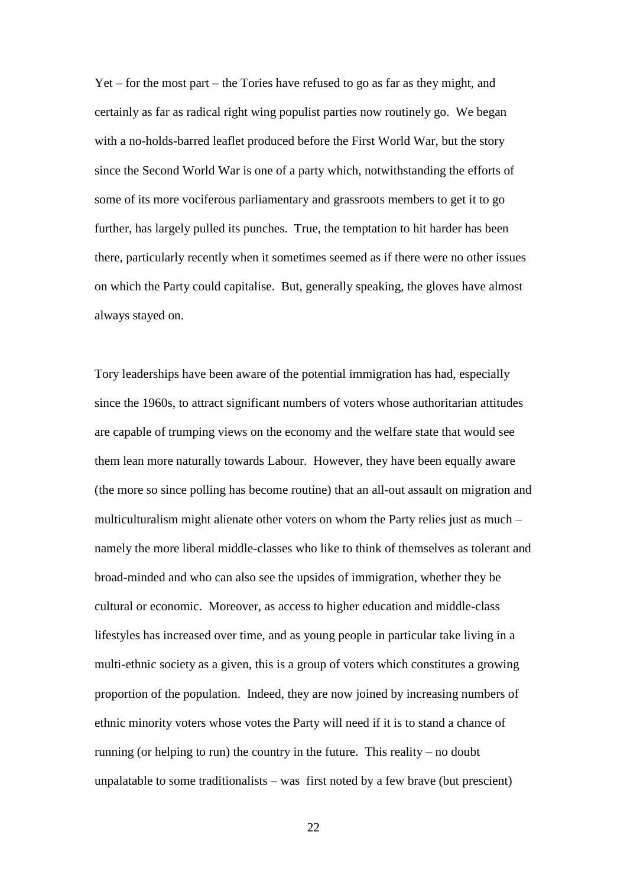Yet – for the most part – the Tories have refused to go as far as they might, and certainly as far as radical right wing populist parties now routinely go. We began with a no-holds-barred leaflet produced before the First World War, but the story since the Second World War is one of a party which, notwithstanding the efforts of some of its more vociferous parliamentary and grassroots members to get it to go further, has largely pulled its punches. True, the temptation to hit harder has been there, particularly recently when it sometimes seemed as if there were no other issues on which the Party could capitalise. But, generally speaking, the gloves have almost always stayed on.

Tory leaderships have been aware of the potential immigration has had, especially since the 1960s, to attract significant numbers of voters whose authoritarian attitudes are capable of trumping views on the economy and the welfare state that would see them lean more naturally towards Labour. However, they have been equally aware (the more so since polling has become routine) that an all-out assault on migration and multiculturalism might alienate other voters on whom the Party relies just as much – namely the more liberal middle-classes who like to think of themselves as tolerant and broad-minded and who can also see the upsides of immigration, whether they be cultural or economic. Moreover, as access to higher education and middle-class lifestyles has increased over time, and as young people in particular take living in a multi-ethnic society as a given, this is a group of voters which constitutes a growing proportion of the population. Indeed, they are now joined by increasing numbers of ethnic minority voters whose votes the Party will need if it is to stand a chance of running (or helping to run) the country in the future. This reality – no doubt unpalatable to some traditionalists – was first noted by a few brave (but prescient)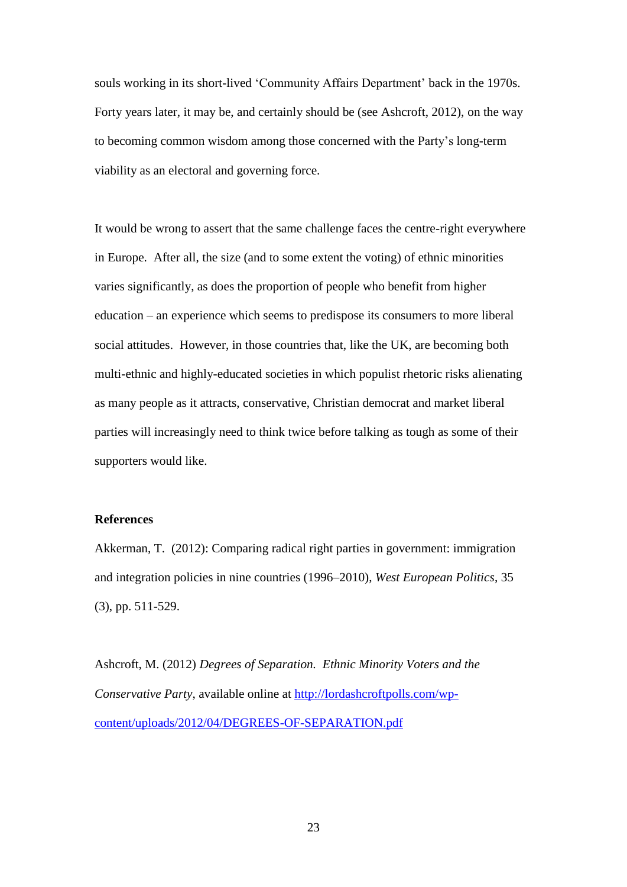souls working in its short-lived 'Community Affairs Department' back in the 1970s. Forty years later, it may be, and certainly should be (see Ashcroft, 2012), on the way to becoming common wisdom among those concerned with the Party's long-term viability as an electoral and governing force.

It would be wrong to assert that the same challenge faces the centre-right everywhere in Europe. After all, the size (and to some extent the voting) of ethnic minorities varies significantly, as does the proportion of people who benefit from higher education – an experience which seems to predispose its consumers to more liberal social attitudes. However, in those countries that, like the UK, are becoming both multi-ethnic and highly-educated societies in which populist rhetoric risks alienating as many people as it attracts, conservative, Christian democrat and market liberal parties will increasingly need to think twice before talking as tough as some of their supporters would like.

## **References**

Akkerman, T. (2012): Comparing radical right parties in government: immigration and integration policies in nine countries (1996–2010), *West European Politics*, 35 (3), pp. 511-529.

Ashcroft, M. (2012) *Degrees of Separation. Ethnic Minority Voters and the Conservative Party*, available online at [http://lordashcroftpolls.com/wp](http://lordashcroftpolls.com/wp-content/uploads/2012/04/DEGREES-OF-SEPARATION.pdf)[content/uploads/2012/04/DEGREES-OF-SEPARATION.pdf](http://lordashcroftpolls.com/wp-content/uploads/2012/04/DEGREES-OF-SEPARATION.pdf)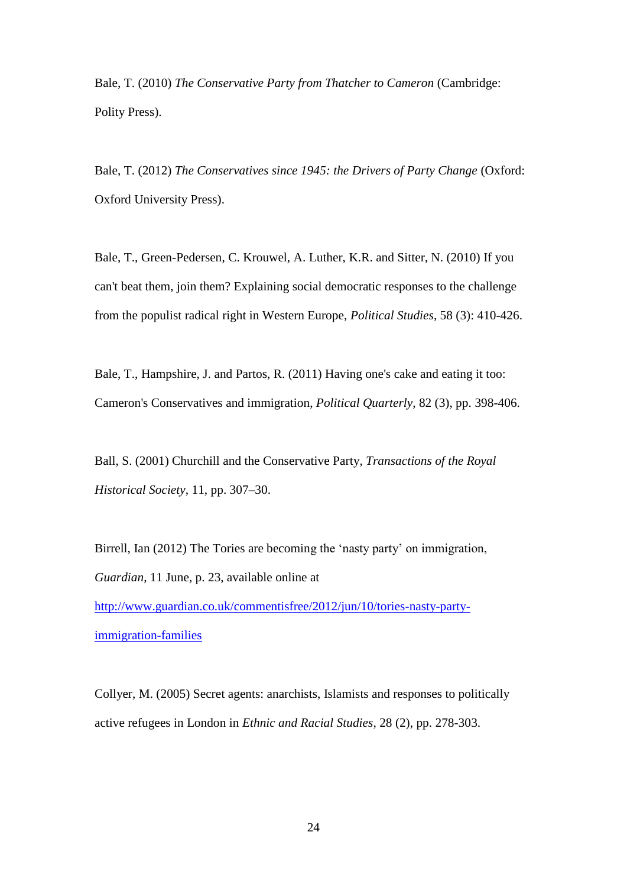Bale, T. (2010) *The Conservative Party from Thatcher to Cameron* (Cambridge: Polity Press).

Bale, T. (2012) *The Conservatives since 1945: the Drivers of Party Change* (Oxford: Oxford University Press).

Bale, T., Green-Pedersen, C. Krouwel, A. Luther, K.R. and Sitter, N. (2010) If you can't beat them, join them? Explaining social democratic responses to the challenge from the populist radical right in Western Europe, *Political Studies*, 58 (3): 410-426.

Bale, T., Hampshire, J. and Partos, R. (2011) Having one's cake and eating it too: Cameron's Conservatives and immigration, *Political Quarterly*, 82 (3), pp. 398-406.

Ball, S. (2001) Churchill and the Conservative Party, *Transactions of the Royal Historical Society*, 11, pp. 307–30.

Birrell, Ian (2012) The Tories are becoming the 'nasty party' on immigration, *Guardian*, 11 June, p. 23, available online at [http://www.guardian.co.uk/commentisfree/2012/jun/10/tories-nasty-party](http://www.guardian.co.uk/commentisfree/2012/jun/10/tories-nasty-party-immigration-families)[immigration-families](http://www.guardian.co.uk/commentisfree/2012/jun/10/tories-nasty-party-immigration-families)

Collyer, M. (2005) Secret agents: anarchists, Islamists and responses to politically active refugees in London in *Ethnic and Racial Studies*, 28 (2), pp. 278-303.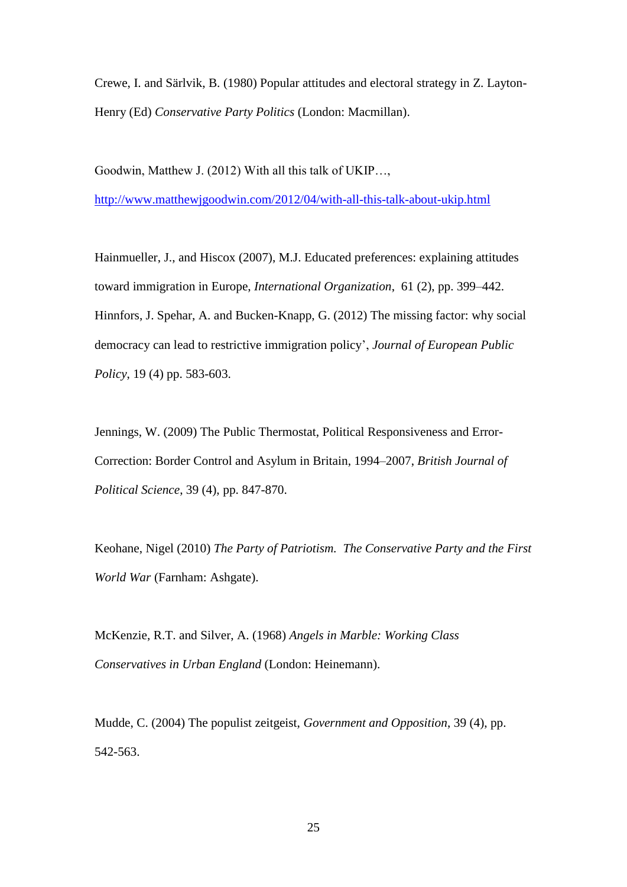Crewe, I. and Särlvik, B. (1980) Popular attitudes and electoral strategy in Z. Layton-Henry (Ed) *Conservative Party Politics* (London: Macmillan).

Goodwin, Matthew J. (2012) With all this talk of UKIP…,

<http://www.matthewjgoodwin.com/2012/04/with-all-this-talk-about-ukip.html>

Hainmueller, J., and Hiscox (2007), M.J. Educated preferences: explaining attitudes toward immigration in Europe, *International Organization*, 61 (2), pp. 399–442. Hinnfors, J. Spehar, A. and Bucken-Knapp, G. (2012) The missing factor: why social democracy can lead to restrictive immigration policy', *Journal of European Public Policy*, 19 (4) pp. 583-603.

Jennings, W. (2009) The Public Thermostat, Political Responsiveness and Error-Correction: Border Control and Asylum in Britain, 1994–2007, *British Journal of Political Science*, 39 (4), pp. 847-870.

Keohane, Nigel (2010) *The Party of Patriotism. The Conservative Party and the First World War* (Farnham: Ashgate).

McKenzie, R.T. and Silver, A. (1968) *Angels in Marble: Working Class Conservatives in Urban England* (London: Heinemann).

Mudde, C. (2004) The populist zeitgeist, *Government and Opposition*, 39 (4), pp. 542-563.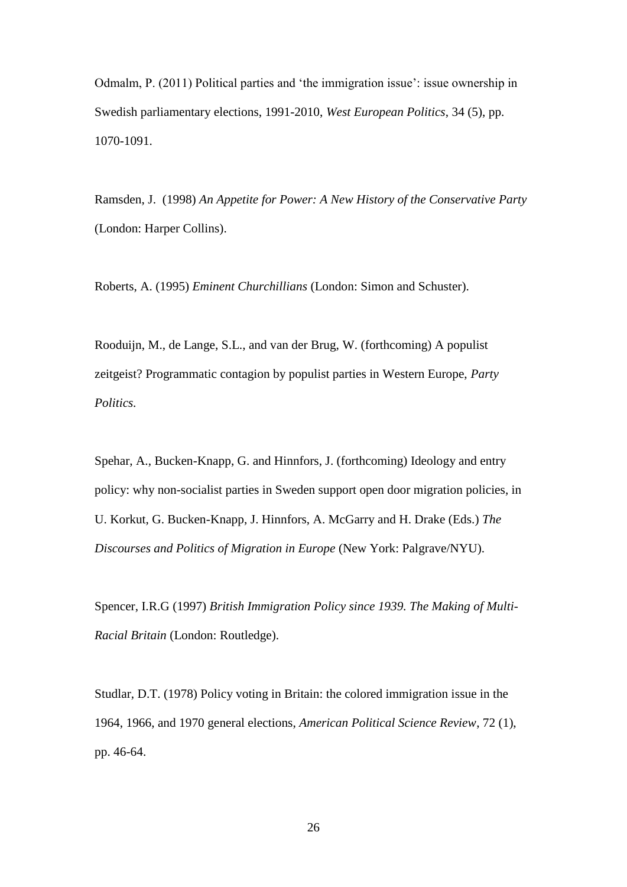Odmalm, P. (2011) Political parties and 'the immigration issue': issue ownership in Swedish parliamentary elections, 1991-2010, *West European Politics*, 34 (5), pp. 1070-1091.

Ramsden, J. (1998) *An Appetite for Power: A New History of the Conservative Party* (London: Harper Collins).

Roberts, A. (1995) *Eminent Churchillians* (London: Simon and Schuster).

Rooduijn, M., de Lange, S.L., and van der Brug, W. (forthcoming) A populist zeitgeist? Programmatic contagion by populist parties in Western Europe, *Party Politics.*

Spehar, A., Bucken-Knapp, G. and Hinnfors, J. (forthcoming) Ideology and entry policy: why non-socialist parties in Sweden support open door migration policies, in U. Korkut, G. Bucken-Knapp, J. Hinnfors, A. McGarry and H. Drake (Eds.) *The Discourses and Politics of Migration in Europe* (New York: Palgrave/NYU).

Spencer, I.R.G (1997) *British Immigration Policy since 1939. The Making of Multi-Racial Britain* (London: Routledge).

Studlar, D.T. (1978) Policy voting in Britain: the colored immigration issue in the 1964, 1966, and 1970 general elections, *American Political Science Review*, 72 (1), pp. 46-64.